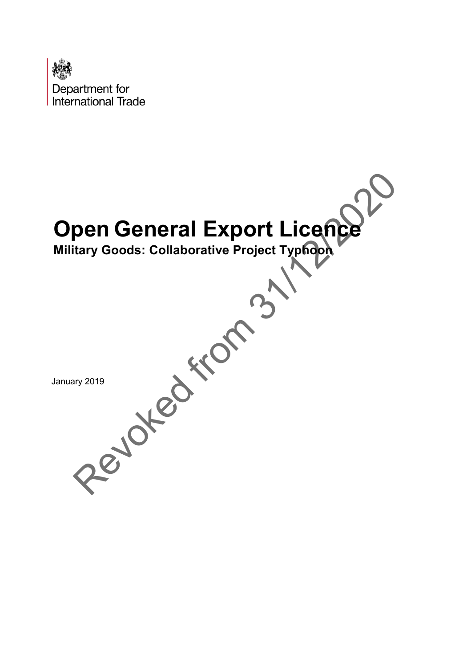

# **Open General Export Licence**

**Military Goods: Collaborative Project Typhoon** Revoked from 31

January 2019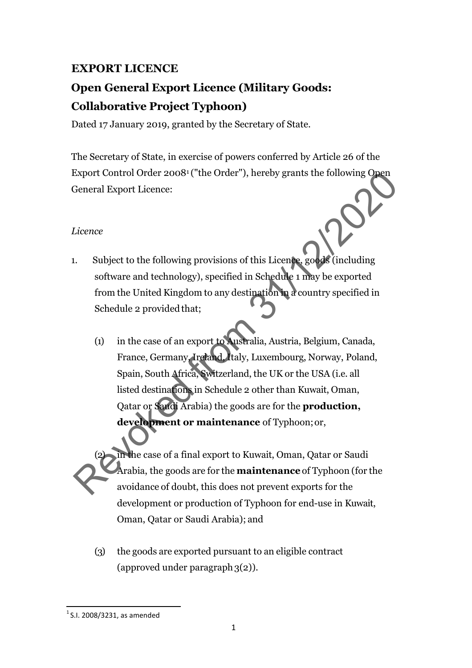# **EXPORT LICENCE**

# **Open General Export Licence (Military Goods: Collaborative Project Typhoon)**

Dated 17 January 2019, granted by the Secretary of State.

The Secretary of State, in exercise of powers conferred by Article 26 of the Export Control Order 20081 ("the Order"), hereby grants the following Open General Export Licence:

### *Licence*

- 1. Subject to the following provisions of this Licence, goods (including software and technology), specified in Schedule 1 may be exported from the United Kingdom to any destination in a country specified in Schedule 2 provided that;
- (1) in the case of an export to Australia, Austria, Belgium, Canada, France, Germany, Ireland, Italy, Luxembourg, Norway, Poland, Spain, South Africa, Switzerland, the UK or the USA (i.e. all listed destinations in Schedule 2 other than Kuwait, Oman, Qatar or Saudi Arabia) the goods are for the **production, development or maintenance** of Typhoon; or, Export Control Order 2008<sup>1</sup> ("the Order"), hereby grants the following Open<br>Seneral Export Licence:<br>Licence<br>Licence<br>Licence<br>Licence<br>direction in the United Kingdom to any destination a *a* country specified in<br>Schedule 2

in the case of a final export to Kuwait, Oman, Qatar or Saudi Arabia, the goods are for the **maintenance** of Typhoon (for the avoidance of doubt, this does not prevent exports for the development or production of Typhoon for end-use in Kuwait, Oman, Qatar or Saudi Arabia); and

(3) the goods are exported pursuant to an eligible contract (approved under paragraph  $3(2)$ ).

<span id="page-1-0"></span> $1$  S.I. 2008/3231, as amended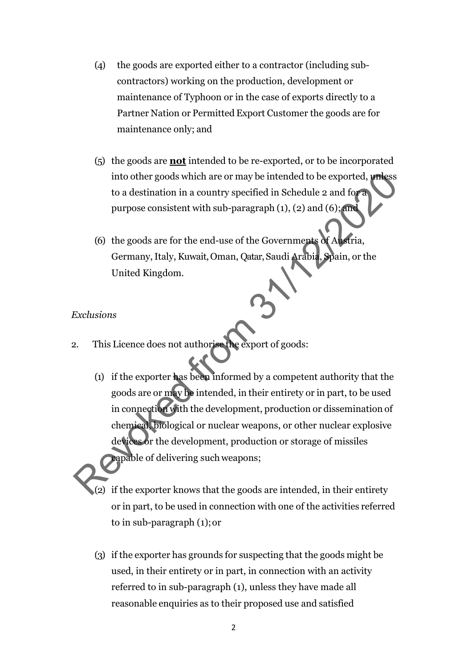- (4) the goods are exported either to a contractor (including subcontractors) working on the production, development or maintenance of Typhoon or in the case of exports directly to a Partner Nation or Permitted Export Customer the goods are for maintenance only; and
- (5) the goods are **not** intended to be re-exported, or to be incorporated into other goods which are or may be intended to be exported, unless to a destination in a country specified in Schedule 2 and for a purpose consistent with sub-paragraph (1), (2) and (6); and
- (6) the goods are for the end-use of the Governments of Austria, Germany, Italy, Kuwait, Oman, Qatar, Saudi Arabia, Spain, or the United Kingdom.

### *Exclusions*

- 2. This Licence does not authorise the export of goods:
- (1) if the exporter has been informed by a competent authority that the goods are or may be intended, in their entirety or in part, to be used in connection with the development, production or dissemination of chemical, biological or nuclear weapons, or other nuclear explosive devices or the development, production or storage of missiles capable of delivering such weapons; into other goods which are or may be intended to be exported, which<br>to a destination in a country specified in Schedule 2 and form<br>purpose consistent with sub-paragraph (1), (2) and (6):<br>and the summer section of the goods
	- (2) if the exporter knows that the goods are intended, in their entirety or in part, to be used in connection with one of the activities referred to in sub-paragraph (1);or
	- (3) if the exporter has grounds for suspecting that the goods might be used, in their entirety or in part, in connection with an activity referred to in sub-paragraph (1), unless they have made all reasonable enquiries as to their proposed use and satisfied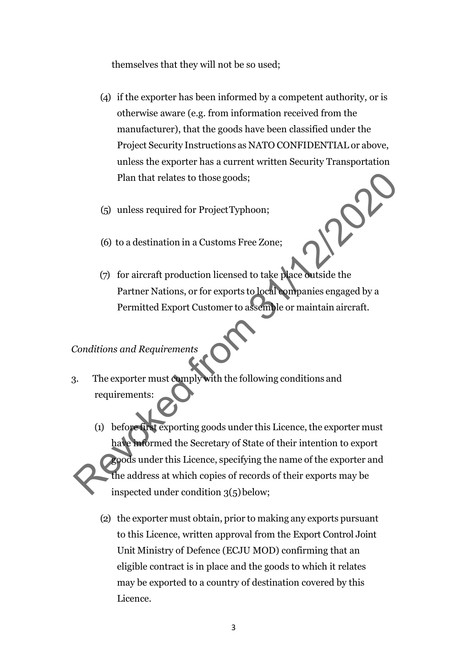themselves that they will not be so used;

- (4) if the exporter has been informed by a competent authority, or is otherwise aware (e.g. from information received from the manufacturer), that the goods have been classified under the Project Security Instructions as NATO CONFIDENTIAL or above, unless the exporter has a current written Security Transportation Plan that relates to those goods;
- (5) unless required for ProjectTyphoon;
- (6) to a destination in a Customs Free Zone;
- (7) for aircraft production licensed to take place outside the Partner Nations, or for exports to local companies engaged by a Permitted Export Customer to assemble or maintain aircraft.

*Conditions and Requirements*

- 3. The exporter must comply with the following conditions and requirements:
- (1) before first exporting goods under this Licence, the exporter must have informed the Secretary of State of their intention to export goods under this Licence, specifying the name of the exporter and the address at which copies of records of their exports may be inspected under condition  $3(5)$  below; Plan that relates to those goods;<br>
(5) unless required for ProjectTyphoon;<br>
(6) to a destination in a Customs Free Zone;<br>
(7) for aircraft production licensed to take place outside the<br>
Partner Nations, or for exports to l
	- (2) the exporter must obtain, prior to making any exports pursuant to this Licence, written approval from the Export Control Joint Unit Ministry of Defence (ECJU MOD) confirming that an eligible contract is in place and the goods to which it relates may be exported to a country of destination covered by this Licence.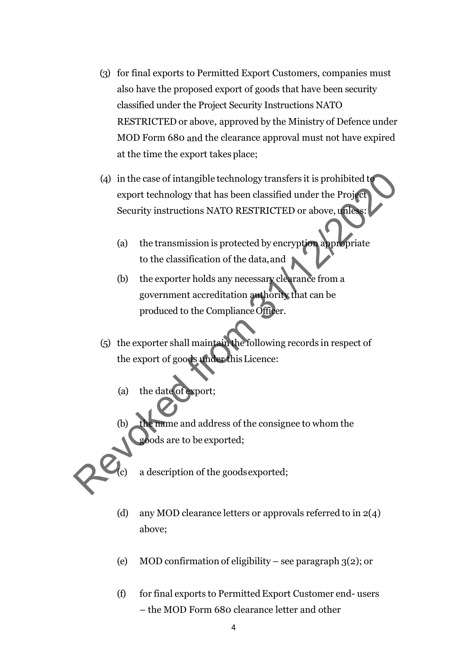- (3) for final exports to Permitted Export Customers, companies must also have the proposed export of goods that have been security classified under the Project Security Instructions NATO RESTRICTED or above, approved by the Ministry of Defence under MOD Form 680 and the clearance approval must not have expired at the time the export takes place;
- (4) in the case of intangible technology transfers it is prohibited to export technology that has been classified under the Project Security instructions NATO RESTRICTED or above, unless: (4) in the case of intangible technology transfers it is prohibited to<br>export technology that has been classified under the Project<br>Security instructions NATO RESTRICTED or above, under<br>to the classification of the data,
	- (a) the transmission is protected by encryption appropriate to the classification of the data,and
	- (b) the exporter holds any necessary clearance from a government accreditation authority that can be produced to the ComplianceOfficer.
	- (5) the exporter shall maintain the following records in respect of the export of goods under thisLicence:
		- (a) the date of export;
		- the name and address of the consignee to whom the goods are to be exported;

a description of the goods exported;

- (d) any MOD clearance letters or approvals referred to in 2(4) above;
- (e) MOD confirmation of eligibility see paragraph  $3(2)$ ; or
- (f) for final exports to Permitted Export Customer end- users – the MOD Form 680 clearance letter and other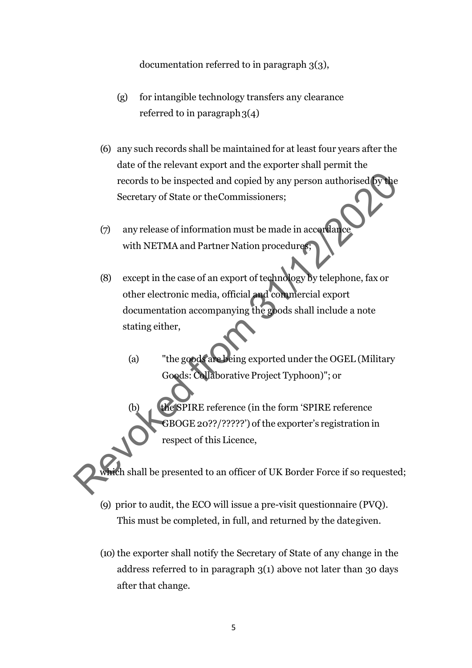#### documentation referred to in paragraph 3(3),

- (g) for intangible technology transfers any clearance referred to in paragraph  $3(4)$
- (6) any such records shall be maintained for at least four years after the date of the relevant export and the exporter shall permit the records to be inspected and copied by any person authorised by the Secretary of State or theCommissioners;
- $(7)$  any release of information must be made in accordance with NETMA and Partner Nation procedures;
- (8) except in the case of an export of technology by telephone, fax or other electronic media, official and commercial export documentation accompanying the goods shall include a note stating either, records to be inspected and copied by any person authorised by the<br>Secretary of State or the Commissioners;<br>
(7) any release of information must be made in accordance<br>
with NETMA and Partner Nation procedure.<br>
(8) except i
	- (a) "the goods are being exported under the OGEL (Military Goods: Collaborative Project Typhoon)"; or
	- (b) the SPIRE reference (in the form 'SPIRE reference GBOGE 20??/?????') of the exporter's registration in respect of this Licence,

ch shall be presented to an officer of UK Border Force if so requested;

- (9) prior to audit, the ECO will issue a pre-visit questionnaire (PVQ). This must be completed, in full, and returned by the dategiven.
- (10) the exporter shall notify the Secretary of State of any change in the address referred to in paragraph 3(1) above not later than 30 days after that change.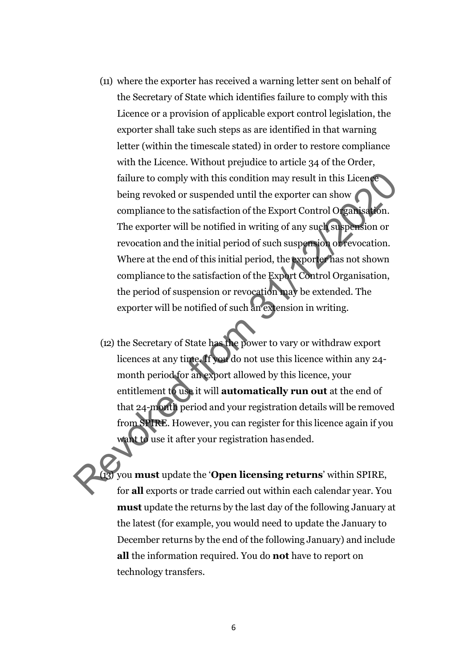- (11) where the exporter has received a warning letter sent on behalf of the Secretary of State which identifies failure to comply with this Licence or a provision of applicable export control legislation, the exporter shall take such steps as are identified in that warning letter (within the timescale stated) in order to restore compliance with the Licence. Without prejudice to article 34 of the Order, failure to comply with this condition may result in this Licence being revoked or suspended until the exporter can show compliance to the satisfaction of the Export Control Organisation. The exporter will be notified in writing of any such suspension or revocation and the initial period of such suspension or revocation. Where at the end of this initial period, the exporter has not shown compliance to the satisfaction of the Export Control Organisation, the period of suspension or revocation may be extended. The exporter will be notified of such an extension in writing. failure to comply with this condition may result in this Licence<br>being revoked or suspended until the exporter can show<br>compliance to the satisfaction of the Export Control Organisation.<br>The exporter will be notified in w
	- (12) the Secretary of State has the power to vary or withdraw export licences at any time. If you do not use this licence within any 24 month period for an export allowed by this licence, your entitlement to use it will **automatically run out** at the end of that 24-month period and your registration details will be removed from SPIRE. However, you can register for this licence again if you want to use it after your registration has ended.

(13) you **must** update the '**Open licensing returns**' within SPIRE, for **all** exports or trade carried out within each calendar year. You **must** update the returns by the last day of the following January at the latest (for example, you would need to update the January to December returns by the end of the following January) and include **all** the information required. You do **not** have to report on technology transfers.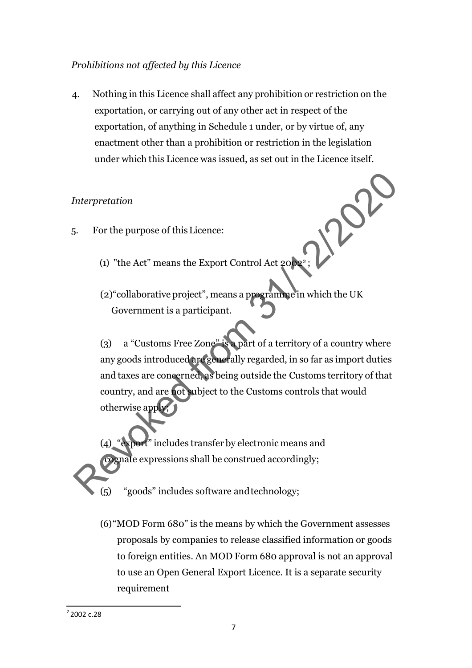### *Prohibitions not affected by this Licence*

4. Nothing in this Licence shall affect any prohibition or restriction on the exportation, or carrying out of any other act in respect of the exportation, of anything in Schedule 1 under, or by virtue of, any enactment other than a prohibition or restriction in the legislation under which this Licence was issued, as set out in the Licence itself.

### *Interpretation*

- 5. For the purpose of thisLicence:
	- (1) "the Act" means the Export Control Act  $2002^2$
	- (2)"collaborative project", means a programme in which the UK Government is a participant.

(3) a "Customs Free Zone" is a part of a territory of a country where any goods introduced are generally regarded, in so far as import duties and taxes are concerned, as being outside the Customs territory of that country, and are not subject to the Customs controls that would otherwise apply; Interpretation<br>
S. For the purpose of this Licence:<br>
(1) "the Act" means the Export Control Act  $20\frac{1}{2}$ <br>
(2) "collaborative project", means a programme in which the UK<br>
Government is a participant.<br>
(3) a "Customs Fre

"export" includes transfer by electronic means and cognate expressions shall be construed accordingly;

"goods" includes software and technology;

(6)"MOD Form 680" is the means by which the Government assesses proposals by companies to release classified information or goods to foreign entities. An MOD Form 680 approval is not an approval to use an Open General Export Licence. It is a separate security requirement

<span id="page-7-0"></span> $2$  2002 c.28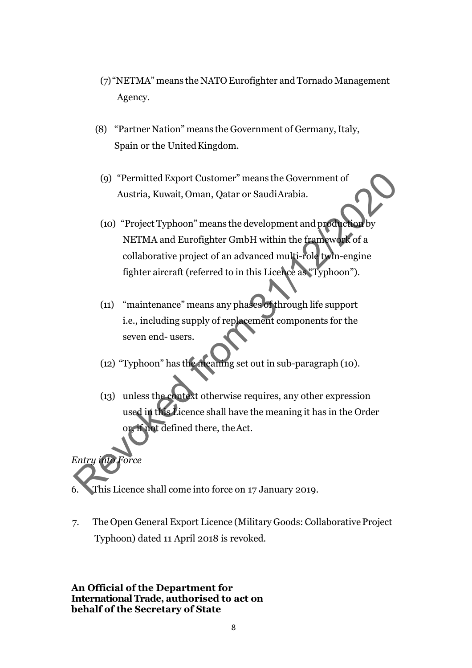- (7) "NETMA" means the NATO Eurofighter and Tornado Management Agency.
- (8) "Partner Nation" means the Government of Germany, Italy, Spain or the UnitedKingdom.
- (9) "PermittedExport Customer" means the Government of Austria, Kuwait, Oman, Qatar or SaudiArabia.
- (10) "Project Typhoon" means the development and production by NETMA and Eurofighter GmbH within the framework of a collaborative project of an advanced multi-role twin-engine fighter aircraft (referred to in this Licence as "Typhoon"). (9) "Permitted Export Customer" means the Government of<br>Austria, Kuwait, Oman, Qatar or Saudi Arabia.<br>
(10) "Project Typhoon" means the development and production<br>
NETMA and Eurofighter GmbH within the framework of a<br>
col
	- (11) "maintenance" means any phases of through life support i.e., including supply of replacement components for the seven end- users.
	- (12) "Typhoon" has the meaning set out in sub-paragraph (10).
	- (13) unless the context otherwise requires, any other expression used in this Licence shall have the meaning it has in the Order or, if not defined there, theAct.

6. This Licence shall come into force on 17 January 2019.

*Entry into Force*

7. The Open General Export Licence (Military Goods: Collaborative Project Typhoon) dated 11 April 2018 is revoked.

**An Official of the Department for International Trade, authorised to act on behalf of the Secretary of State**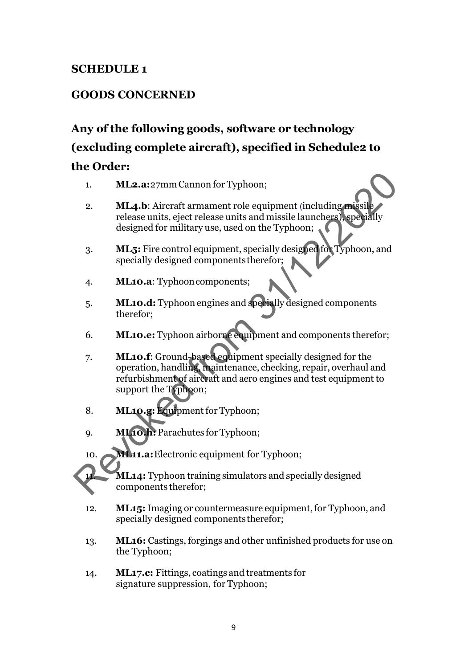# **SCHEDULE 1**

# **GOODS CONCERNED**

# **Any of the following goods, software or technology (excluding complete aircraft), specified in Schedule2 to the Order:**

- 1. **ML2.a:**27mm Cannon for Typhoon;
- 2. **ML4.b**: Aircraft armament role equipment (including missil release units, eject release units and missile launchers), specially designed for military use, used on the Typhoon;
- 3. **ML5:** Fire control equipment, specially designed for Typhoon, and specially designed componentstherefor;
- 4. **ML10.a**: Typhooncomponents;
- 5. **ML10.d:** Typhoon engines and specially designed components therefor;
- 6. **ML10.e:** Typhoon airborne equipment and components therefor;
- 7. **ML10.f**: Ground-based equipment specially designed for the operation, handling, maintenance, checking, repair, overhaul and refurbishment of aircraft and aero engines and test equipment to support the Typhoon; MLA. Hercraft armament role equipment (including missile)<br>
Relaxe units, eject release units and missile launchers) specially<br>
release units, eject release units and missile launchers) specially<br>
designed for military use,
	- 8. **ML10.g:**Equipment for Typhoon;
	- 9. **ML10.h:** Parachutes for Typhoon;

10. **ML11.a:** Electronic equipment for Typhoon;

**ML14:** Typhoon training simulators and specially designed components therefor;

- 12. **ML15:**Imaging or countermeasure equipment,for Typhoon, and specially designed componentstherefor;
- 13. **ML16:** Castings, forgings and other unfinished products for use on the Typhoon;
- 14. **ML17.c:** Fittings, coatings and treatments for signature suppression, for Typhoon;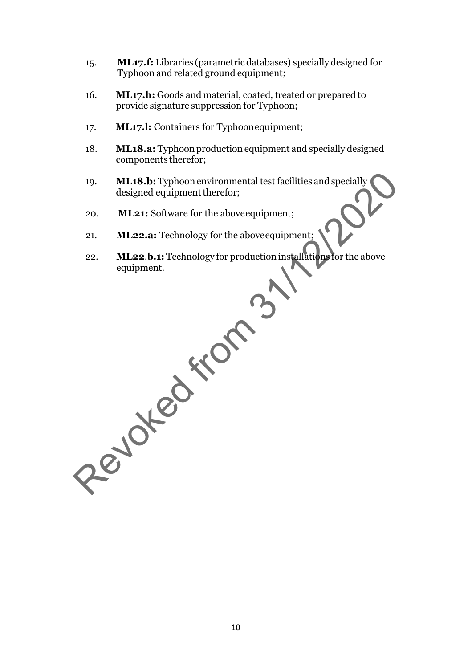- 15. **ML17.f:** Libraries (parametric databases) specially designed for Typhoon and related ground equipment;
- 16. **ML17.h:** Goods and material, coated, treated or prepared to provide signature suppression for Typhoon;
- 17. **ML17.l:** Containers for Typhoonequipment;
- 18. **ML18.a:** Typhoon production equipment and specially designed components therefor;
- 19. **ML18.b:** Typhoon environmental test facilities and specially designed equipment therefor; ML18.b: Typhoon environmental test facilities and specially<br>designed equipment therefor;<br>20. ML22.a: Fechnology for the above<br>equipment;<br>21. ML22.b.1: Technology for production installations for the above<br>equipment.
	- 20. **ML21:** Software for the aboveequipment;
	- 21. **ML22.a:** Technology for the aboveequipment;
	- 22. **ML22**.**b.1:** Technology for production installations for the above equipment.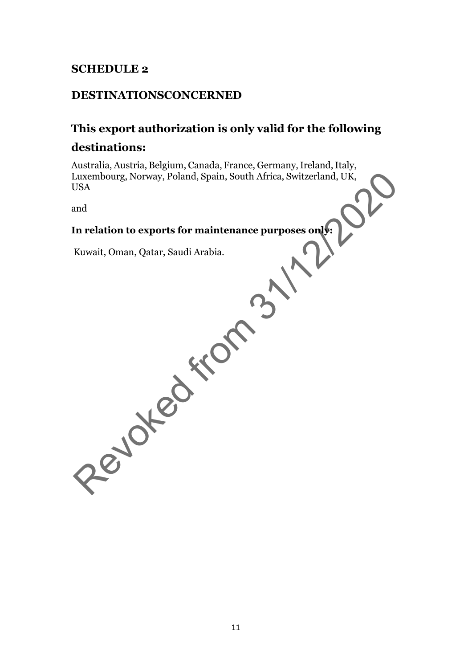## **SCHEDULE 2**

### **DESTINATIONSCONCERNED**

### **This export authorization is only valid for the following**

### **destinations:**

Australia, Austria, Belgium, Canada, France, Germany, Ireland, Italy, Luxembourg, Norway, Poland, Spain, South Africa, Switzerland, UK, USA Exambourg, Norway, Poland, Spain, South Africa, Switzerland, UK,<br>
USA<br>
Ind<br>
In relation to exports for maintenance purposes only:<br>
Kuwait, Oman, Qatar, Saudi Arabia.<br>
A CONCOREGIST:<br>
CONCOREGIST:<br>
CONCOREGIST:<br>
CONCOREGIST

and

### **In relation to exports for maintenance purposes only:**

Kuwait, Oman, Qatar, Saudi Arabia.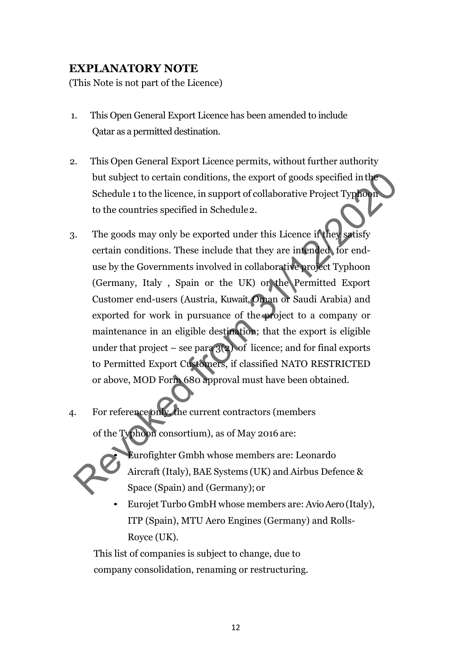# **EXPLANATORY NOTE**

(This Note is not part of the Licence)

- 1. This Open General Export Licence has been amended to include Qatar as a permitted destination.
- 2. This Open General Export Licence permits, without further authority but subject to certain conditions, the export of goods specified inthe Schedule 1 to the licence, in support of collaborative Project Typhoon to the countries specified in Schedule2.
- 3. The goods may only be exported under this Licence if they satisfy certain conditions. These include that they are intended for enduse by the Governments involved in collaborative project Typhoon (Germany, Italy , Spain or the UK) or the Permitted Export Customer end-users (Austria, Kuwait, Oman or Saudi Arabia) and exported for work in pursuance of the project to a company or maintenance in an eligible destination; that the export is eligible under that project – see para  $3(2)$  of licence; and for final exports to Permitted Export Customers, if classified NATO RESTRICTED or above, MOD Form 680 approval must have been obtained. but subject to certain conditions, the export of goods specified in the Schedule 1 to the licence, in support of collaborative Project Typeons<br>to the countries specified in Schedule 2.<br>The goods may only be exported under
- 4. For reference only, the current contractors (members of the Typhoon consortium), as of May 2016 are:



- Eurofighter Gmbh whose members are: Leonardo Aircraft (Italy), BAE Systems (UK) and Airbus Defence & Space (Spain) and (Germany); or
- Eurojet Turbo GmbH whose members are: AvioAero(Italy), ITP (Spain), MTU Aero Engines (Germany) and Rolls-Royce (UK).

This list of companies is subject to change, due to company consolidation, renaming or restructuring.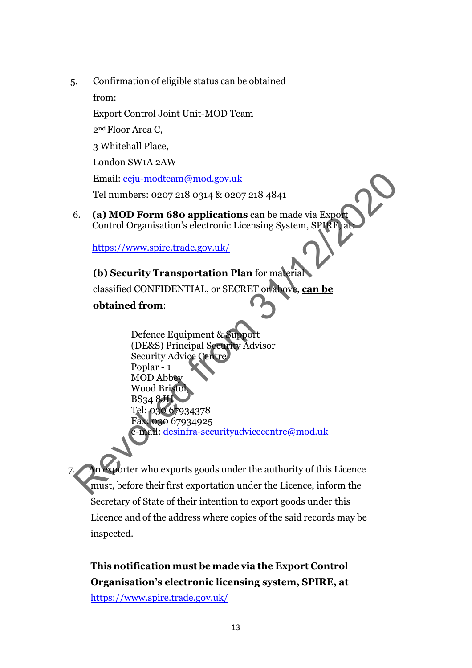5. Confirmation of eligible status can be obtained

from:

Export Control Joint Unit-MOD Team

2nd Floor Area C,

3 Whitehall Place,

London SW1A 2AW

Email: ecju-modteam@mod.gov.uk

Tel numbers: 0207 218 0314 & 0207 218 4841

6. **(a) MOD Form 680 applications** can be made via Export Control Organisation's electronic Licensing System, SPIRE, at:

https://www.spire.trade.gov.uk/

# **(b) Security Transportation Plan** for material

classified CONFIDENTIAL, or SECRET or above, **can be**

# **obtained from**:

Defence Equipment & Support (DE&S) Principal Security Advisor Security Advice Centre Poplar - 1 MOD Abbey Wood Bristol, BS34 8JH Tel: 030 67934378 Fax: 030 67934925 e-mail: desinfra-securityadvicecentre@mod.uk Email:  $ecju-modteam@mod.gov.uk$  $ecju-modteam@mod.gov.uk$ <br>
Tel numbers: 0207 218 0314 & 0207 218 4841<br>
6. (a) MOD Form 680 applications can be made via Export<br>
Control Organisation's electronic Licensing System, SPI(E)<br>
https://www.spire.trade.gov.uk/<br>
(b) Secu

porter who exports goods under the authority of this Licence must, before their first exportation under the Licence, inform the Secretary of State of their intention to export goods under this Licence and of the address where copies of the said records may be inspected.

**This notification must bemade via the Export Control Organisation's electronic licensing system, SPIRE, at**  <https://www.spire.trade.gov.uk/>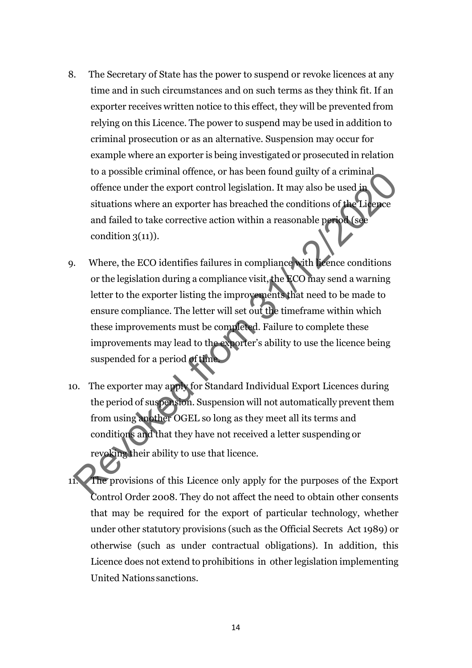- 8. The Secretary of State has the power to suspend or revoke licences at any time and in such circumstances and on such terms as they think fit. If an exporter receives written notice to this effect, they will be prevented from relying on this Licence. The power to suspend may be used in addition to criminal prosecution or as an alternative. Suspension may occur for example where an exporter is being investigated or prosecuted in relation to a possible criminal offence, or has been found guilty of a criminal offence under the export control legislation. It may also be used in situations where an exporter has breached the conditions of the Licence and failed to take corrective action within a reasonable period (see condition  $3(11)$ ).
- 9. Where, the ECO identifies failures in compliance with licence conditions or the legislation during a compliance visit, the ECO may send a warning letter to the exporter listing the improvements that need to be made to ensure compliance. The letter will set out the timeframe within which these improvements must be completed. Failure to complete these improvements may lead to the exporter's ability to use the licence being suspended for a period of time to a possible criminal onence, or nas been folind guilty of a criminal<br>offence under the export control legislation. It may also be used in<br>situations where an exporter has breached the conditions of the Lie<br>precent and fa
- 10. The exporter may apply for Standard Individual Export Licences during the period of suspension. Suspension will not automatically prevent them from using another OGEL so long as they meet all its terms and conditions and that they have not received a letter suspending or revoking their ability to use that licence.
- The provisions of this Licence only apply for the purposes of the Export Control Order 2008. They do not affect the need to obtain other consents that may be required for the export of particular technology, whether under other statutory provisions (such as the Official Secrets Act 1989) or otherwise (such as under contractual obligations). In addition, this Licence does not extend to prohibitions in other legislation implementing United Nations sanctions.